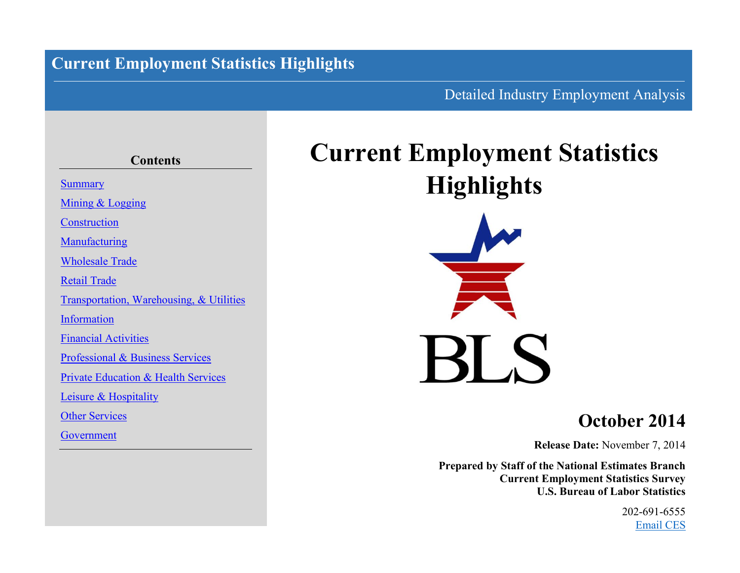# **Current Employment Statistics Highlights**

## Detailed Industry Employment Analysis

# **Contents [Summary](#page-2-0)** [Mining](#page-3-0) & [Logging](#page-3-0) **[Construction](#page-4-0) [Manufacturing](#page-5-0)** [Wholesale](#page-7-0) Trade [Retail](#page-8-0) Trade [Transportation, Warehousing,](#page-9-0) & [Utilities](#page-10-0) [Information](#page-11-0) [Financial](#page-12-0) [Activities](#page-12-0) [Professional](#page-13-0) & [Business](#page-13-0) Services [Private](#page-14-0) [Education](#page-14-0) & [Health](#page-14-0) Services [Leisure](#page-15-0) & [Hospitality](#page-15-0) [Other](#page-16-0) Services [Government](#page-17-0)

# **Current Employment Statistics Highlights**



# **October 2014**

**Release Date:** November 7, 2014

**Prepared by Staff of the National Estimates Branch Current Employment Statistics Survey U.S. Bureau of Labor Statistics**

> 202-691-6555 [Email CES](http://data.bls.gov/cgi-bin/forms/ces?/ces/home.htm)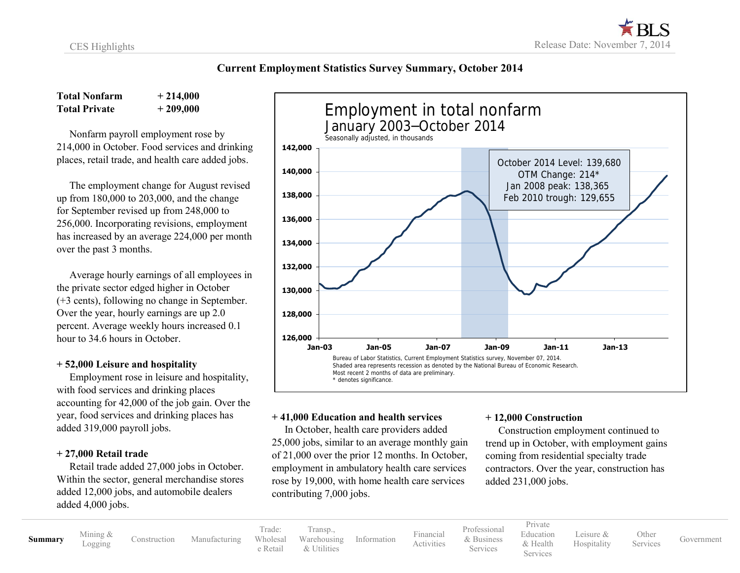#### **Current Employment Statistics Survey Summary, October 2014**

**Total Nonfarm + 214,000 Total Private + 209,000**

 Nonfarm payroll employment rose by 214,000 in October. Food services and drinking places, retail trade, and health care added jobs.

 The employment change for August revised up from 180,000 to 203,000, and the change for September revised up from 248,000 to 256,000. Incorporating revisions, employment has increased by an average 224,000 per month over the past 3 months.

 Average hourly earnings of all employees in the private sector edged higher in October (+3 cents), following no change in September. Over the year, hourly earnings are up 2.0 percent. Average weekly hours increased 0.1 hour to 34.6 hours in October.

#### **+ 52,000 Leisure and hospitality**

 Employment rose in leisure and hospitality, with food services and drinking places accounting for 42,000 of the job gain. Over the year, food services and drinking places has added 319,000 payroll jobs.

#### **+ 27,000 Retail trade**

 Retail trade added 27,000 jobs in October. Within the sector, general merchandise stores added 12,000 jobs, and automobile dealers added 4,000 jobs.



#### **+ 41,000 Education and health services**

 In October, health care providers added 25,000 jobs, similar to an average monthly gain of 21,000 over the prior 12 months. In October, employment in ambulatory health care services rose by 19,000, with home health care services contributing 7,000 jobs.

#### **+ 12,000 Construction**

 Construction employment continued to trend up in October, with employment gains coming from residential specialty trade contractors. Over the year, construction has added 231,000 jobs.

**[Summary](#page-2-0)** [Mining](#page-3-0) &

[Construction](#page-4-0) [Manufacturing](#page-5-0)

Trade: [Wholesal](#page-7-0) [e](#page-7-0) [Retail](#page-8-0) [Transp.](#page-9-0), [Warehousing](#page-9-0) & [Utilities](#page-10-0)

[Information](#page-11-0) [Financial](#page-12-0) [Activities](#page-12-0) [Professional](#page-13-0) & [Business](#page-13-0) Services

[Private](#page-14-0) [Education](#page-14-0) [& Health](#page-14-0)

Services

[Leisure](#page-15-0) & [Hospitality](#page-15-0) **[Other](#page-16-0)**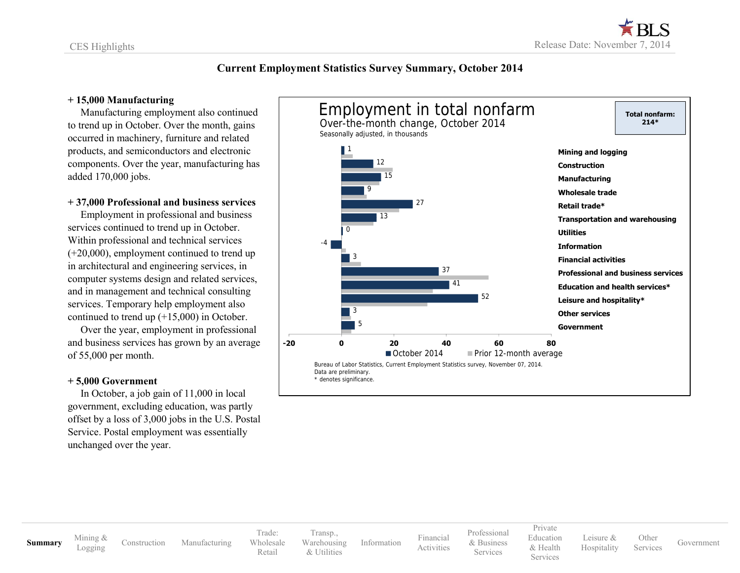#### <span id="page-2-0"></span>**Current Employment Statistics Survey Summary, October 2014**

#### **+ 15,000 Manufacturing**

 Manufacturing employment also continued to trend up in October. Over the month, gains occurred in machinery, furniture and related products, and semiconductors and electronic components. Over the year, manufacturing has added 170,000 jobs.

#### **+ 37,000 Professional and business services**

 Employment in professional and business services continued to trend up in October. Within professional and technical services (+20,000), employment continued to trend up in architectural and engineering services, in computer systems design and related services, and in management and technical consulting services. Temporary help employment also continued to trend up (+15,000) in October.

 Over the year, employment in professional and business services has grown by an average of 55,000 per month.

#### **+ 5,000 Government**

 In October, a job gain of 11,000 in local government, excluding education, was partly offset by a loss of 3,000 jobs in the U.S. Postal Service. Postal employment was essentially unchanged over the year.



**[Summary](#page-2-0)** [Mining](#page-3-0) &

[Construction](#page-4-0) [Manufacturing](#page-5-0)

Trade: [Wholesale](#page-7-0) [Retail](#page-8-0) [Transp.,](#page-9-0) [Warehousing](#page-9-0) [& Utilities](#page-10-0)

[Information](#page-11-0) [Financial](#page-12-0)

[Activities](#page-12-0)

[Professional](#page-13-0) & [Business](#page-13-0) Services [Private](#page-14-0) [Education](#page-14-0) & [Health](#page-14-0) Services

[Leisure](#page-15-0) & [Hospitality](#page-15-0)

Services [Government](#page-17-0)

**[Other](#page-16-0)**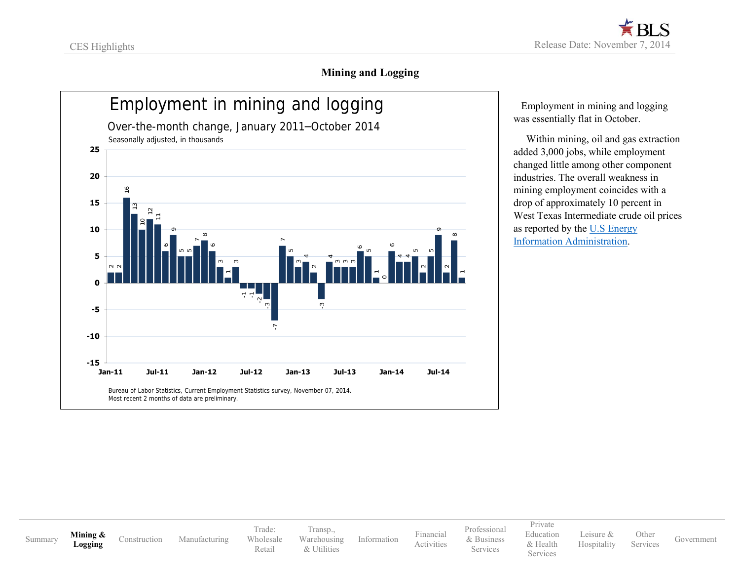### **Mining and Logging**

<span id="page-3-0"></span>

 Employment in mining and logging was essentially flat in October.

 Within mining, oil and gas extraction added 3,000 jobs, while employment changed little among other component industries. The overall weakness in mining employment coincides with a drop of approximately 10 percent in West Texas Intermediate crude oil prices as reported by th[e U.S Energy](http://www.eia.gov/petroleum/)  [Information Administration.](http://www.eia.gov/petroleum/)

[Summary](#page-2-0) **[Mining](#page-3-0) &** 

**[Logging](#page-3-0)** [Construction](#page-4-0) [Manufacturing](#page-5-0)

Trade: [Wholesale](#page-7-0) [Retail](#page-8-0)

[Transp.,](#page-9-0) [Warehousing](#page-9-0) [& Utilities](#page-10-0)

[Information](#page-11-0) [Financial](#page-12-0)

[Activities](#page-12-0)

[Professional](#page-13-0) & [Business](#page-13-0) Services

[Private](#page-14-0) [Education](#page-14-0) & [Health](#page-14-0) **Services** 

[Leisure](#page-15-0) & [Hospitality](#page-15-0) [Other](#page-16-0)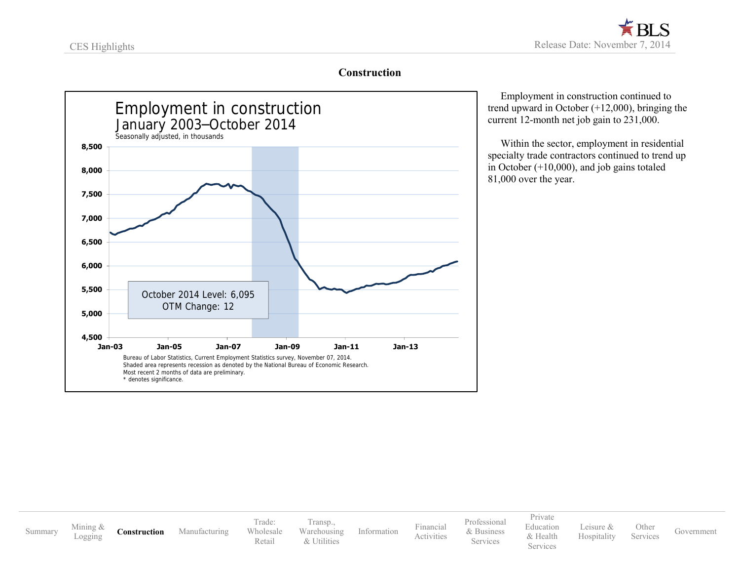#### **Construction**

<span id="page-4-0"></span>

 Employment in construction continued to trend upward in October (+12,000), bringing the current 12-month net job gain to 231,000.

 Within the sector, employment in residential specialty trade contractors continued to trend up in October (+10,000), and job gains totaled 81,000 over the year.

[Summary](#page-2-0) [Mining](#page-3-0) & **[Construction](#page-4-0)** [Manufacturing](#page-5-0) Trade: [Wholesale](#page-7-0) [Retail](#page-8-0) [Transp.,](#page-9-0) [Warehousing](#page-9-0) [& Utilities](#page-10-0) [Information](#page-11-0) [Financial](#page-12-0) [Activities](#page-12-0) [Professional](#page-13-0) & [Business](#page-13-0) Services [Private](#page-14-0) [Education](#page-14-0) & [Health](#page-14-0) Services [Leisure](#page-15-0) & [Hospitality](#page-15-0) [Other](#page-16-0) Services [Government](#page-17-0)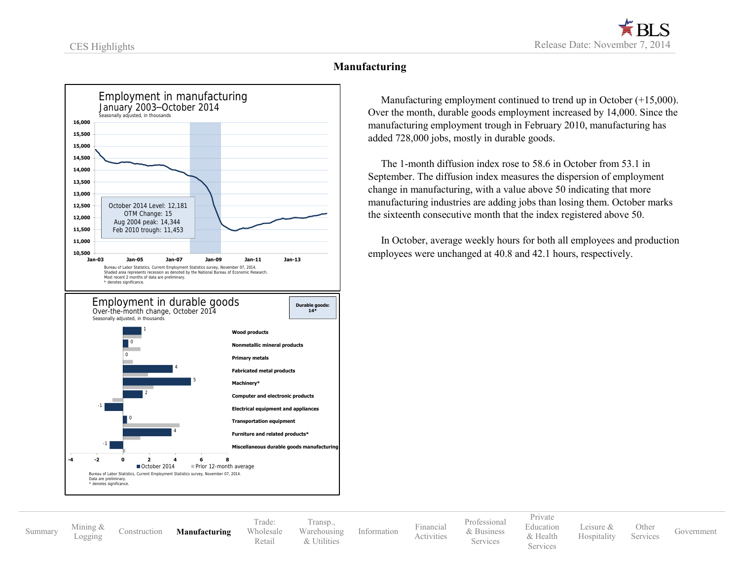#### **Manufacturing**

<span id="page-5-0"></span>

 Manufacturing employment continued to trend up in October (+15,000). Over the month, durable goods employment increased by 14,000. Since the manufacturing employment trough in February 2010, manufacturing has added 728,000 jobs, mostly in durable goods.

 The 1-month diffusion index rose to 58.6 in October from 53.1 in September. The diffusion index measures the dispersion of employment change in manufacturing, with a value above 50 indicating that more manufacturing industries are adding jobs than losing them. October marks the sixteenth consecutive month that the index registered above 50.

In October, average weekly hours for both all employees and production

[Summary](#page-2-0) [Mining](#page-3-0) &

[Logging](#page-3-0) [Construction](#page-4-0) **[Manufacturing](#page-5-0)**

Trade: [Wholesale](#page-7-0) [Retail](#page-8-0)

[Transp.,](#page-9-0) [Warehousing](#page-9-0) [& Utilities](#page-10-0)

[Information](#page-11-0) [Financial](#page-12-0) [Activities](#page-12-0)

[Professional](#page-13-0) & [Business](#page-13-0) **Services** 

[Private](#page-14-0) [Education](#page-14-0) & [Health](#page-14-0)

Services

[Leisure](#page-15-0) & [Hospitality](#page-15-0)

[Other](#page-16-0) Services [Government](#page-17-0)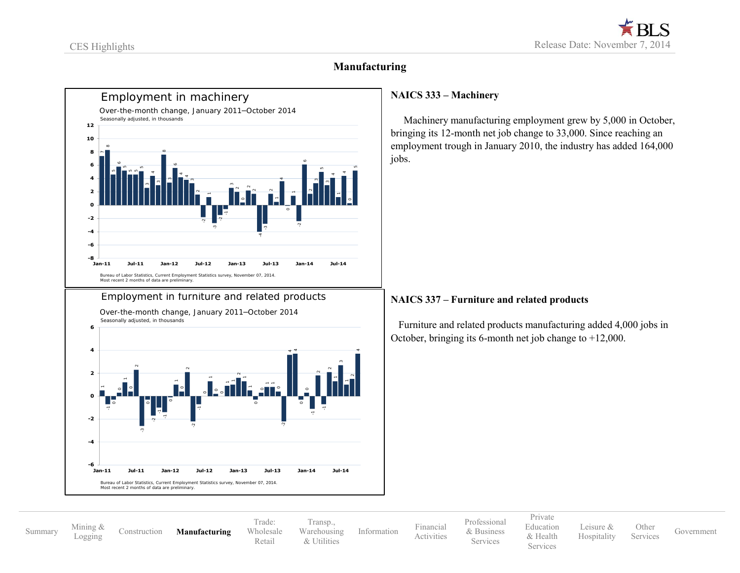#### **Manufacturing**



 Machinery manufacturing employment grew by 5,000 in October, bringing its 12-month net job change to 33,000. Since reaching an employment trough in January 2010, the industry has added 164,000

#### **NAICS 337 – Furniture and related products**

 Furniture and related products manufacturing added 4,000 jobs in October, bringing its 6-month net job change to +12,000.

[Summary](#page-2-0) [Mining](#page-3-0) &

[Construction](#page-4-0) **[Manufacturing](#page-5-0)** 

Trade: [Wholesale](#page-7-0) [Retail](#page-8-0)

[Transp.,](#page-9-0) [Warehousing](#page-9-0) [& Utilities](#page-10-0)

[Information](#page-11-0) [Financial](#page-12-0) [Activities](#page-12-0) [Professional](#page-13-0) & [Business](#page-13-0) **Services** 

[Private](#page-14-0) [Education](#page-14-0) & [Health](#page-14-0) Services

[Leisure](#page-15-0) & [Hospitality](#page-15-0) [Other](#page-16-0)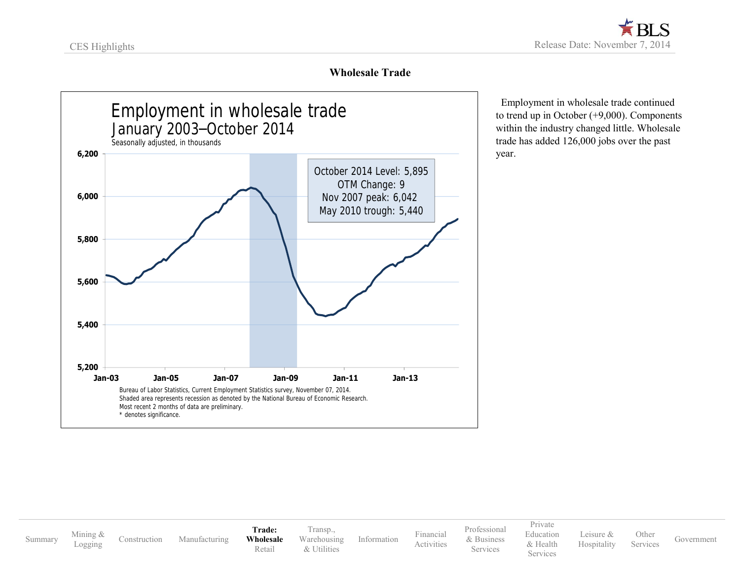### **Wholesale Trade**

<span id="page-7-0"></span>

 Employment in wholesale trade continued to trend up in October (+9,000). Components within the industry changed little. Wholesale trade has added 126,000 jobs over the past year.

[Summary](#page-2-0) [Mining](#page-3-0) &<br>Logging

[Construction](#page-4-0) [Manufacturing](#page-5-0) **Trade: [Wholesale](#page-7-0)** [Retail](#page-8-0)

[Transp.,](#page-9-0) [Warehousing](#page-9-0) [& Utilities](#page-10-0)

[Information](#page-11-0) [Financial](#page-12-0)

[Professional](#page-13-0) & [Business](#page-13-0) Services

[Activities](#page-12-0)

[Private](#page-14-0) [Education](#page-14-0) & [Health](#page-14-0) **Services** 

[Leisure](#page-15-0) & [Hospitality](#page-15-0) [Other](#page-16-0)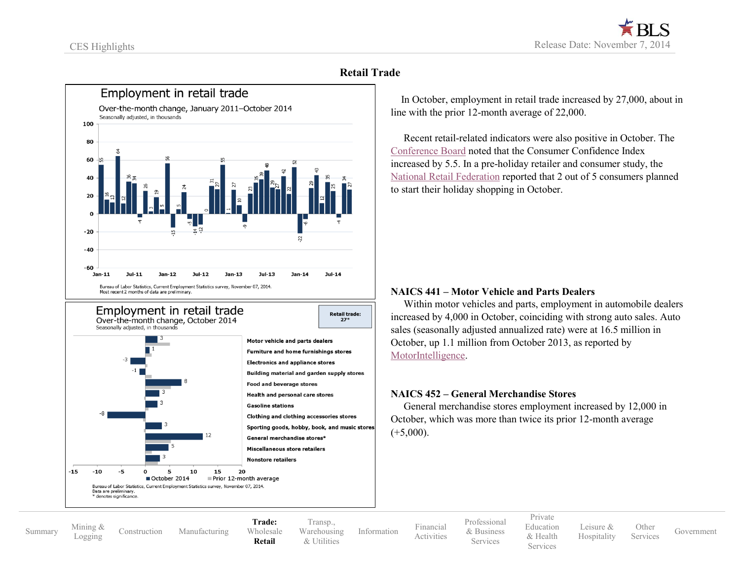### **Retail Trade**

<span id="page-8-0"></span>

 In October, employment in retail trade increased by 27,000, about in line with the prior 12-month average of 22,000.

 Recent retail-related indicators were also positive in October. The [Conference Board](http://www.conference-board.org/data/consumerconfidence.cfm) noted that the Consumer Confidence Index increased by 5.5. In a pre-holiday retailer and consumer study, the [National Retail Federation](https://nrf.com/resources/retail-library/eholiday-2014-pre-holiday-retailer-and-consumer-survey-results) reported that 2 out of 5 consumers planned to start their holiday shopping in October.

#### **NAICS 441 – Motor Vehicle and Parts Dealers**

Within motor vehicles and parts, employment in automobile dealers increased by 4,000 in October, coinciding with strong auto sales. Auto sales (seasonally adjusted annualized rate) were at 16.5 million in October, up 1.1 million from October 2013, as reported by [MotorIntelligence.](http://www.motorintelligence.com/m_frameset.html)

#### **NAICS 452 – General Merchandise Stores**

 General merchandise stores employment increased by 12,000 in October, which was more than twice its prior 12-month average  $(+5,000)$ .

[Summary](#page-2-0) [Mining](#page-3-0) &

[Construction](#page-4-0) [Manufacturing](#page-5-0)

Data are preliminary significano October 2014

Bureau of Labor Statistics, Current Employment Statistics survey, November 07, 2014.

**Trade:** [Wholesale](#page-7-0) **[Retail](#page-8-0)**

Prior 12-month average

[Transp.,](#page-9-0) [Warehousing](#page-9-0) [& Utilities](#page-10-0)

[Information](#page-11-0) [Financial](#page-12-0)

[Professional](#page-13-0) & [Business](#page-13-0) **Services** 

[Activities](#page-12-0)

[Private](#page-14-0) [Education](#page-14-0) & [Health](#page-14-0) Services

[Leisure](#page-15-0) & [Hospitality](#page-15-0)

[Other](#page-16-0)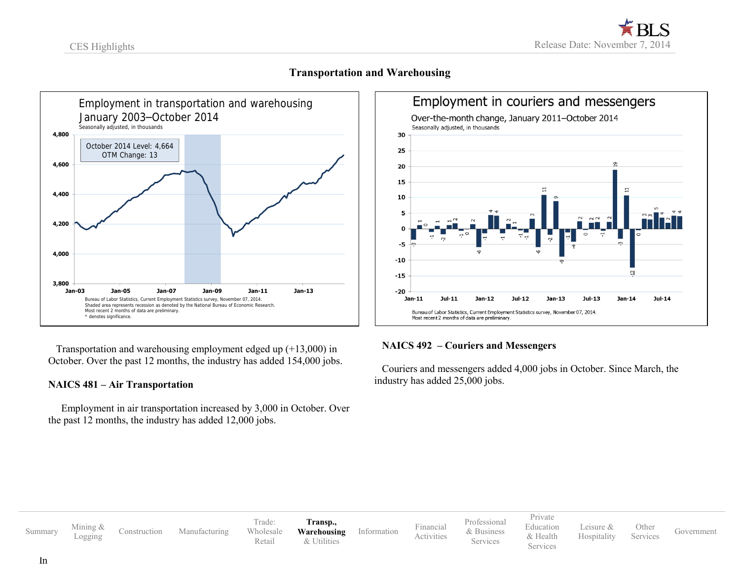<span id="page-9-0"></span>

**Transportation and Warehousing**



 Transportation and warehousing employment edged up (+13,000) in October. Over the past 12 months, the industry has added 154,000 jobs.

#### **NAICS 481 – Air Transportation**

 Employment in air transportation increased by 3,000 in October. Over the past 12 months, the industry has added 12,000 jobs.

#### **NAICS 492 – Couriers and Messengers**

 Couriers and messengers added 4,000 jobs in October. Since March, the industry has added 25,000 jobs.

| Summary | Mining &<br>Logging | Construction | Manufacturing | Trade:<br>Wholesale<br>Retail | Transp.,<br>Warehousing<br>& Utilities | Information | Financial<br>Activities | Professional<br>& Business<br>Services | Private<br>Education<br>& Health<br>Services | Leisure &<br>Hospitality | Other<br>Services | Government |
|---------|---------------------|--------------|---------------|-------------------------------|----------------------------------------|-------------|-------------------------|----------------------------------------|----------------------------------------------|--------------------------|-------------------|------------|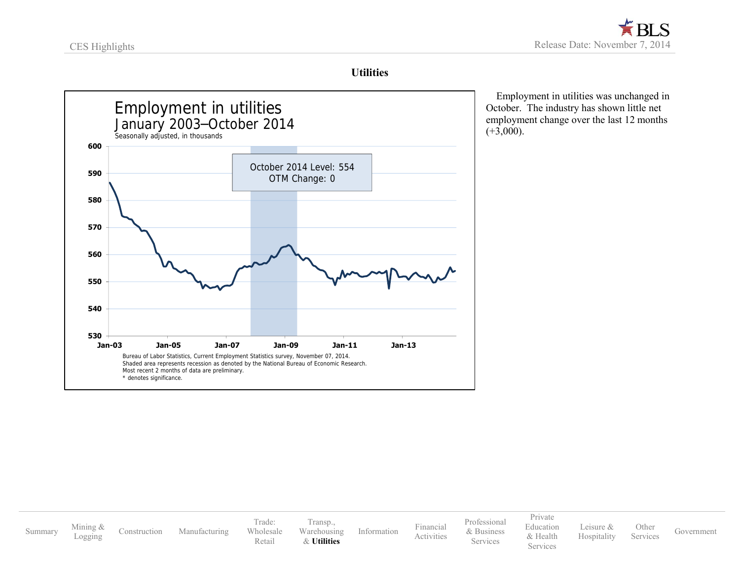### **Utilities**

<span id="page-10-0"></span>

 Employment in utilities was unchanged in October. The industry has shown little net employment change over the last 12 months  $(+3,000)$ .

[Private](#page-14-0)

[Leisure](#page-15-0) & [Hospitality](#page-15-0) [Other](#page-16-0)

Services [Government](#page-17-0)

[Summary](#page-2-0) [Mining](#page-3-0) &<br>Logging [Construction](#page-4-0) [Manufacturing](#page-5-0) Trade: [Wholesale](#page-7-0) [Retail](#page-8-0) [Transp.,](#page-9-0) [Warehousing](#page-9-0) & **[Utilities](#page-10-0)** [Information](#page-11-0) [Financial](#page-12-0) [Activities](#page-12-0) [Professional](#page-13-0) & [Business](#page-13-0) Services [Education](#page-14-0) & [Health](#page-14-0) Services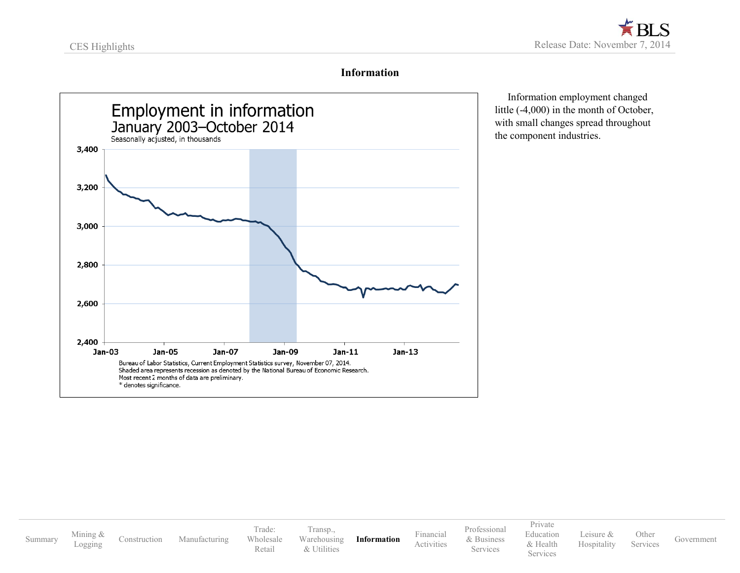#### **Information**

<span id="page-11-0"></span>

 Information employment changed little (-4,000) in the month of October, with small changes spread throughout the component industries.

[Summary](#page-2-0) [Mining](#page-3-0) &<br>Logging [Construction](#page-4-0) [Manufacturing](#page-5-0) Trade: [Wholesale](#page-7-0) [Retail](#page-8-0) [Transp.,](#page-9-0) [Warehousing](#page-9-0) [& Utilities](#page-10-0) **[Information](#page-11-0)** [Financial](#page-12-0) [Activities](#page-12-0) [Professional](#page-13-0) & [Business](#page-13-0) Services [Private](#page-14-0) [Education](#page-14-0) & [Health](#page-14-0) Services [Leisure](#page-15-0) & [Hospitality](#page-15-0) [Other](#page-16-0) Services [Government](#page-17-0)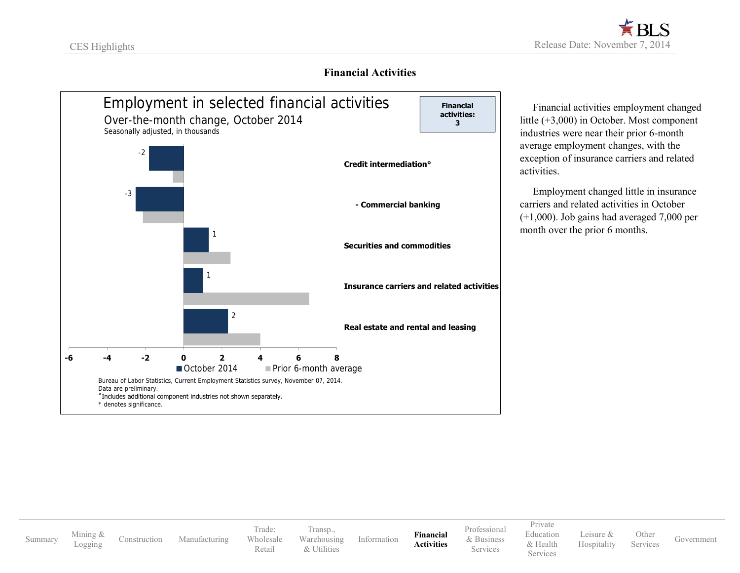#### **Financial Activities**

<span id="page-12-0"></span>

 Financial activities employment changed little (+3,000) in October. Most component industries were near their prior 6-month average employment changes, with the exception of insurance carriers and related activities.

 Employment changed little in insurance carriers and related activities in October (+1,000). Job gains had averaged 7,000 per month over the prior 6 months.

[Summary](#page-2-0) [Mining](#page-3-0) &

[Construction](#page-4-0) [Manufacturing](#page-5-0)

Trade: [Wholesale](#page-7-0) [Retail](#page-8-0)

[Transp.,](#page-9-0) [Warehousing](#page-9-0) [& Utilities](#page-10-0)

[Information](#page-11-0) **[Financial](#page-12-0) [Activities](#page-12-0)** [Professional](#page-13-0) & [Business](#page-13-0) Services

[Private](#page-14-0) [Education](#page-14-0) & [Health](#page-14-0) **Services** 

[Leisure](#page-15-0) & [Hospitality](#page-15-0) [Other](#page-16-0)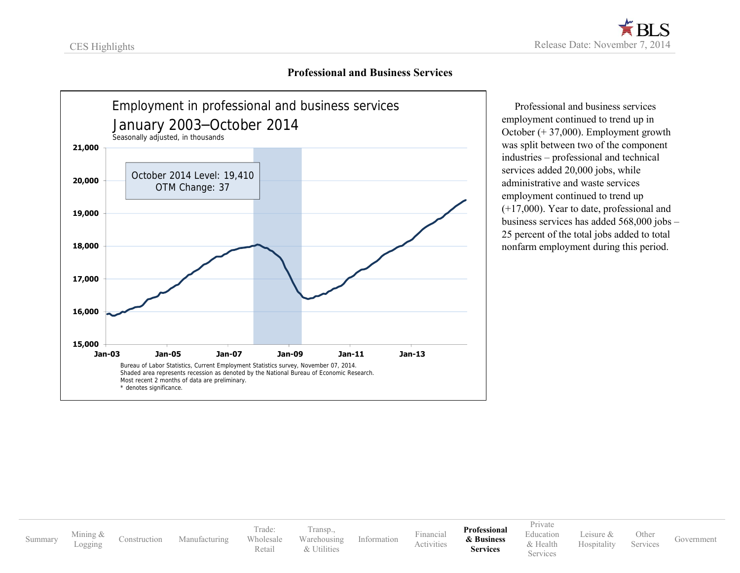#### **Professional and Business Services**

<span id="page-13-0"></span>

 Professional and business services employment continued to trend up in October (+ 37,000). Employment growth was split between two of the component industries – professional and technical services added 20,000 jobs, while administrative and waste services employment continued to trend up (+17,000). Year to date, professional and business services has added 568,000 jobs – 25 percent of the total jobs added to total nonfarm employment during this period.

[Summary](#page-2-0) [Mining](#page-3-0) &<br>Logging [Construction](#page-4-0) [Manufacturing](#page-5-0) Trade: [Wholesale](#page-7-0) [Retail](#page-8-0) [Transp.,](#page-9-0) [Warehousing](#page-9-0) [& Utilities](#page-10-0) [Information](#page-11-0) [Financial](#page-12-0) [Activities](#page-12-0) **[Professional](#page-13-0) & [Business](#page-13-0) Services** [Private](#page-14-0) [Education](#page-14-0) & [Health](#page-14-0) **Services** [Leisure](#page-15-0) & [Hospitality](#page-15-0) [Other](#page-16-0) Services [Government](#page-17-0)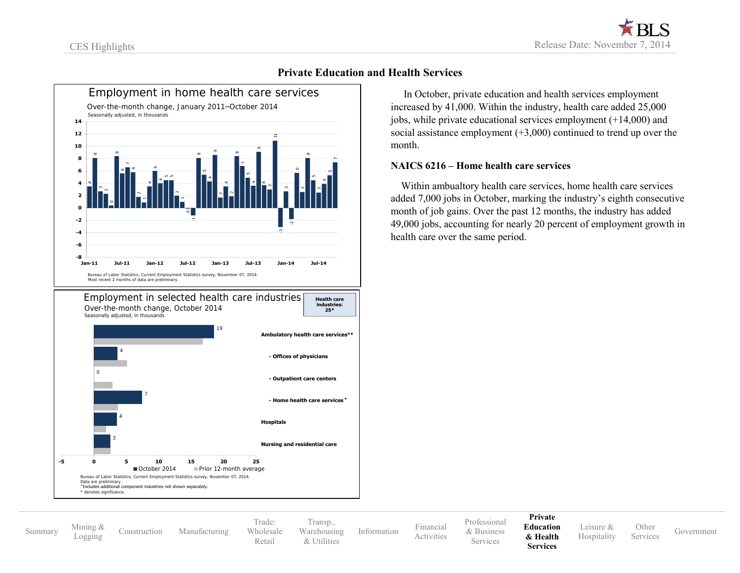<span id="page-14-0"></span>

#### **Private Education and Health Services**

 In October, private education and health services employment increased by 41,000. Within the industry, health care added 25,000 jobs, while private educational services employment (+14,000) and social assistance employment (+3,000) continued to trend up over the month.

#### **NAICS 6216 – Home health care services**

 Within ambualtory health care services, home health care services added 7,000 jobs in October, marking the industry's eighth consecutive month of job gains. Over the past 12 months, the industry has added 49,000 jobs, accounting for nearly 20 percent of employment growth in health care over the same period.

[Summary](#page-2-0) [Mining](#page-3-0) &

[Construction](#page-4-0) [Manufacturing](#page-5-0)

Trade: [Wholesale](#page-7-0) [Retail](#page-8-0) [Transp.,](#page-9-0) [Warehousing](#page-9-0) [& Utilities](#page-10-0)

[Information](#page-11-0) [Financial](#page-12-0)

[Professional](#page-13-0) & [Business](#page-13-0) **Services** 

[Activities](#page-12-0)

#### **[Private](#page-14-0) [Education](#page-14-0) [& Health](#page-14-0)**

**Services**

[Leisure](#page-15-0) & [Hospitality](#page-15-0)

[Other](#page-16-0)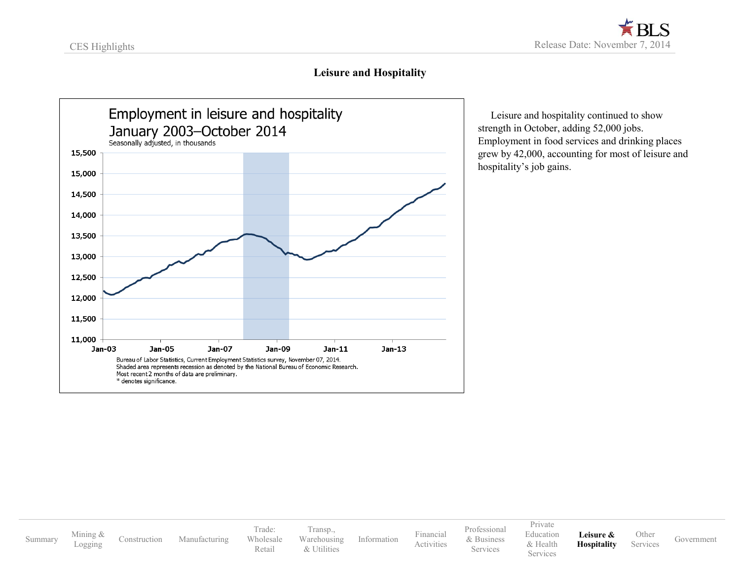#### **Leisure and Hospitality**

<span id="page-15-0"></span>

 Leisure and hospitality continued to show strength in October, adding 52,000 jobs. Employment in food services and drinking places grew by 42,000, accounting for most of leisure and hospitality's job gains.

[Summary](#page-2-0) [Mining](#page-3-0) &<br>Logging [Construction](#page-4-0) [Manufacturing](#page-5-0) Trade: [Wholesale](#page-7-0) [Retail](#page-8-0) [Transp.,](#page-9-0) [Warehousing](#page-9-0) [& Utilities](#page-10-0) [Information](#page-11-0) [Financial](#page-12-0) [Activities](#page-12-0) [Professional](#page-13-0) & [Business](#page-13-0) Services [Private](#page-14-0) [Education](#page-14-0) & [Health](#page-14-0) Services **[Leisure](#page-15-0) & [Hospitality](#page-15-0)** [Other](#page-16-0) Services [Government](#page-17-0)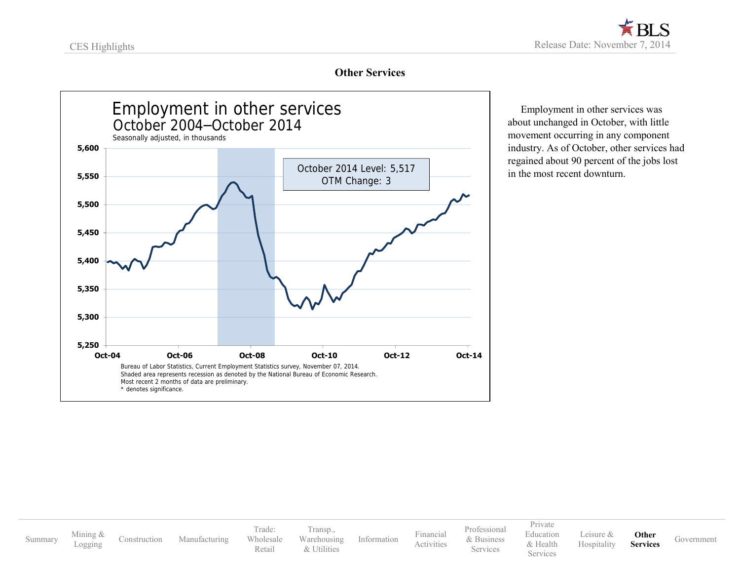### **Other Services**

<span id="page-16-0"></span>

 Employment in other services was about unchanged in October, with little movement occurring in any component industry. As of October, other services had regained about 90 percent of the jobs lost in the most recent downturn.

[Summary](#page-2-0) [Mining](#page-3-0) &<br>Logging [Construction](#page-4-0) [Manufacturing](#page-5-0) Trade: [Wholesale](#page-7-0) [Retail](#page-8-0) [Transp.,](#page-9-0) [Warehousing](#page-9-0) [& Utilities](#page-10-0) [Information](#page-11-0) [Financial](#page-12-0) [Activities](#page-12-0) [Professional](#page-13-0) & [Business](#page-13-0) Services [Private](#page-14-0) [Education](#page-14-0) & [Health](#page-14-0) **Services** [Leisure](#page-15-0) & [Hospitality](#page-15-0) **[Other](#page-16-0) Services** [Government](#page-17-0)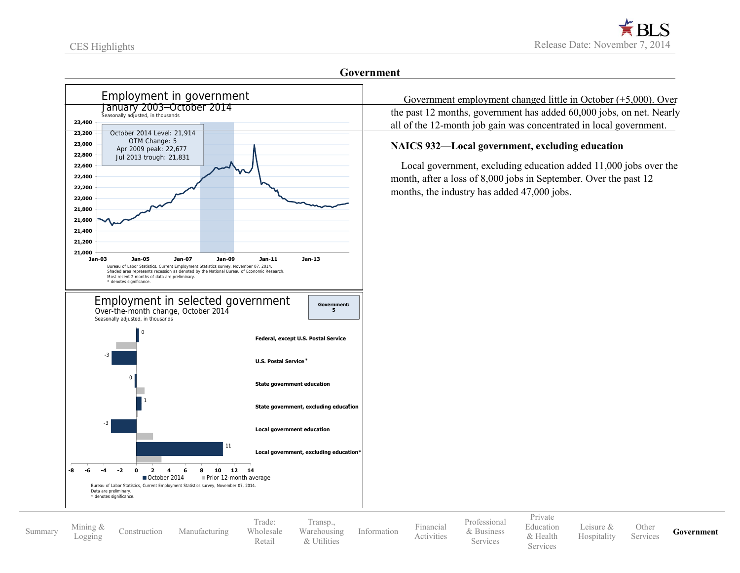[Summary](#page-2-0) [Mining](#page-3-0) &

<span id="page-17-0"></span>

Trade: [Wholesale](#page-7-0) [Retail](#page-8-0)

[Transp.,](#page-9-0) [Warehousing](#page-9-0) [& Utilities](#page-10-0)

[Information](#page-11-0) [Financial](#page-12-0)

[Activities](#page-12-0)

[Professional](#page-13-0) & [Business](#page-13-0) **Services** 

[Private](#page-14-0) [Education](#page-14-0) & [Health](#page-14-0) Services

[Leisure](#page-15-0) & [Hospitality](#page-15-0) [Other](#page-16-0)

Services **[Government](#page-17-0)** 

[Construction](#page-4-0) [Manufacturing](#page-5-0)

#### **Government**

 Government employment changed little in October (+5,000). Over the past 12 months, government has added 60,000 jobs, on net. Nearly all of the 12-month job gain was concentrated in local government.

#### **NAICS 932—Local government, excluding education**

 Local government, excluding education added 11,000 jobs over the month, after a loss of 8,000 jobs in September. Over the past 12 months, the industry has added 47,000 jobs.